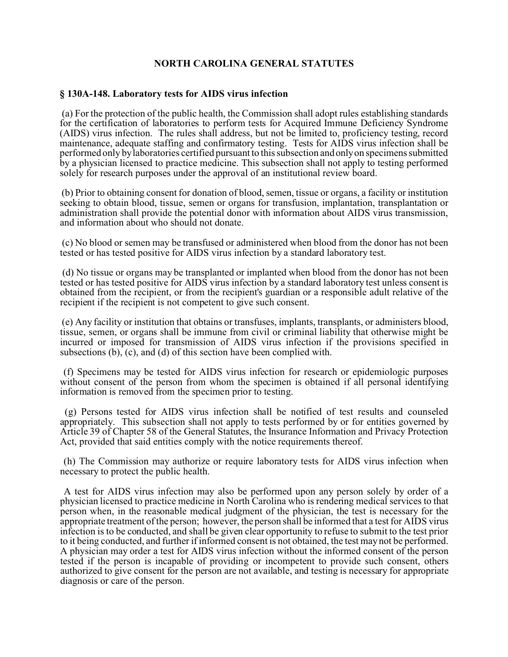## **NORTH CAROLINA GENERAL STATUTES**

## **§ 130A-148. Laboratory tests for AIDS virus infection**

 (a) For the protection of the public health, the Commission shall adopt rules establishing standards for the certification of laboratories to perform tests for Acquired Immune Deficiency Syndrome (AIDS) virus infection. The rules shall address, but not be limited to, proficiency testing, record maintenance, adequate staffing and confirmatory testing. Tests for AIDS virus infection shall be performed only by laboratories certified pursuant to this subsection and only on specimens submitted by a physician licensed to practice medicine. This subsection shall not apply to testing performed solely for research purposes under the approval of an institutional review board.

 (b) Prior to obtaining consent for donation of blood, semen, tissue or organs, a facility or institution seeking to obtain blood, tissue, semen or organs for transfusion, implantation, transplantation or administration shall provide the potential donor with information about AIDS virus transmission, and information about who should not donate.

 (c) No blood or semen may be transfused or administered when blood from the donor has not been tested or has tested positive for AIDS virus infection by a standard laboratory test.

 (d) No tissue or organs may be transplanted or implanted when blood from the donor has not been tested or has tested positive for AIDS virus infection by a standard laboratory test unless consent is obtained from the recipient, or from the recipient's guardian or a responsible adult relative of the recipient if the recipient is not competent to give such consent.

 (e) Any facility or institution that obtains or transfuses, implants, transplants, or administers blood, tissue, semen, or organs shall be immune from civil or criminal liability that otherwise might be incurred or imposed for transmission of AIDS virus infection if the provisions specified in subsections (b), (c), and (d) of this section have been complied with.

 (f) Specimens may be tested for AIDS virus infection for research or epidemiologic purposes without consent of the person from whom the specimen is obtained if all personal identifying information is removed from the specimen prior to testing.

 (g) Persons tested for AIDS virus infection shall be notified of test results and counseled appropriately. This subsection shall not apply to tests performed by or for entities governed by Article 39 of Chapter 58 of the General Statutes, the Insurance Information and Privacy Protection Act, provided that said entities comply with the notice requirements thereof.

 (h) The Commission may authorize or require laboratory tests for AIDS virus infection when necessary to protect the public health.

 A test for AIDS virus infection may also be performed upon any person solely by order of a physician licensed to practice medicine in North Carolina who is rendering medical services to that person when, in the reasonable medical judgment of the physician, the test is necessary for the appropriate treatment of the person; however, the person shall be informed that a test for AIDS virus infection is to be conducted, and shall be given clear opportunity to refuse to submit to the test prior to it being conducted, and further if informed consent is not obtained, the test may not be performed. A physician may order a test for AIDS virus infection without the informed consent of the person tested if the person is incapable of providing or incompetent to provide such consent, others authorized to give consent for the person are not available, and testing is necessary for appropriate diagnosis or care of the person.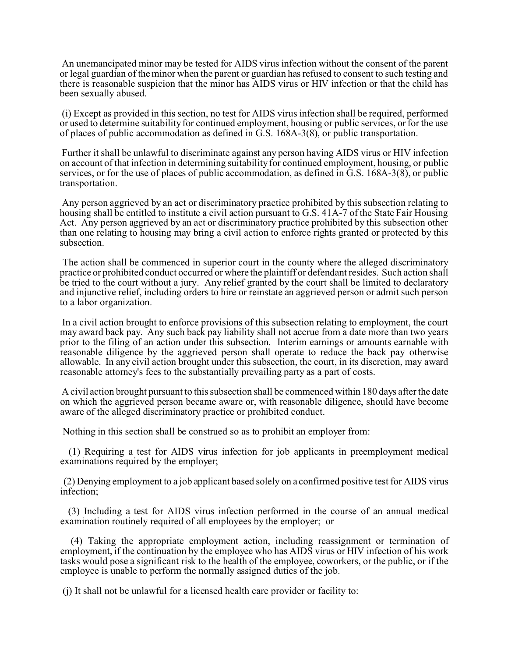An unemancipated minor may be tested for AIDS virus infection without the consent of the parent or legal guardian of the minor when the parent or guardian has refused to consent to such testing and there is reasonable suspicion that the minor has AIDS virus or HIV infection or that the child has been sexually abused.

 (i) Except as provided in this section, no test for AIDS virus infection shall be required, performed or used to determine suitability for continued employment, housing or public services, or for the use of places of public accommodation as defined in G.S. 168A-3(8), or public transportation.

 Further it shall be unlawful to discriminate against any person having AIDS virus or HIV infection on account of that infection in determining suitability for continued employment, housing, or public services, or for the use of places of public accommodation, as defined in G.S. 168A-3(8), or public transportation.

 Any person aggrieved by an act or discriminatory practice prohibited by this subsection relating to housing shall be entitled to institute a civil action pursuant to G.S. 41A-7 of the State Fair Housing Act. Any person aggrieved by an act or discriminatory practice prohibited by this subsection other than one relating to housing may bring a civil action to enforce rights granted or protected by this subsection.

 The action shall be commenced in superior court in the county where the alleged discriminatory practice or prohibited conduct occurred or where the plaintiff or defendant resides. Such action shall be tried to the court without a jury. Any relief granted by the court shall be limited to declaratory and injunctive relief, including orders to hire or reinstate an aggrieved person or admit such person to a labor organization.

 In a civil action brought to enforce provisions of this subsection relating to employment, the court may award back pay. Any such back pay liability shall not accrue from a date more than two years prior to the filing of an action under this subsection. Interim earnings or amounts earnable with reasonable diligence by the aggrieved person shall operate to reduce the back pay otherwise allowable. In any civil action brought under this subsection, the court, in its discretion, may award reasonable attorney's fees to the substantially prevailing party as a part of costs.

 A civil action brought pursuant to this subsection shall be commenced within 180 days after the date on which the aggrieved person became aware or, with reasonable diligence, should have become aware of the alleged discriminatory practice or prohibited conduct.

Nothing in this section shall be construed so as to prohibit an employer from:

 (1) Requiring a test for AIDS virus infection for job applicants in preemployment medical examinations required by the employer;

 (2) Denying employment to a job applicant based solely on a confirmed positive test for AIDS virus infection;

 (3) Including a test for AIDS virus infection performed in the course of an annual medical examination routinely required of all employees by the employer; or

 (4) Taking the appropriate employment action, including reassignment or termination of employment, if the continuation by the employee who has AIDS virus or HIV infection of his work tasks would pose a significant risk to the health of the employee, coworkers, or the public, or if the employee is unable to perform the normally assigned duties of the job.

(j) It shall not be unlawful for a licensed health care provider or facility to: